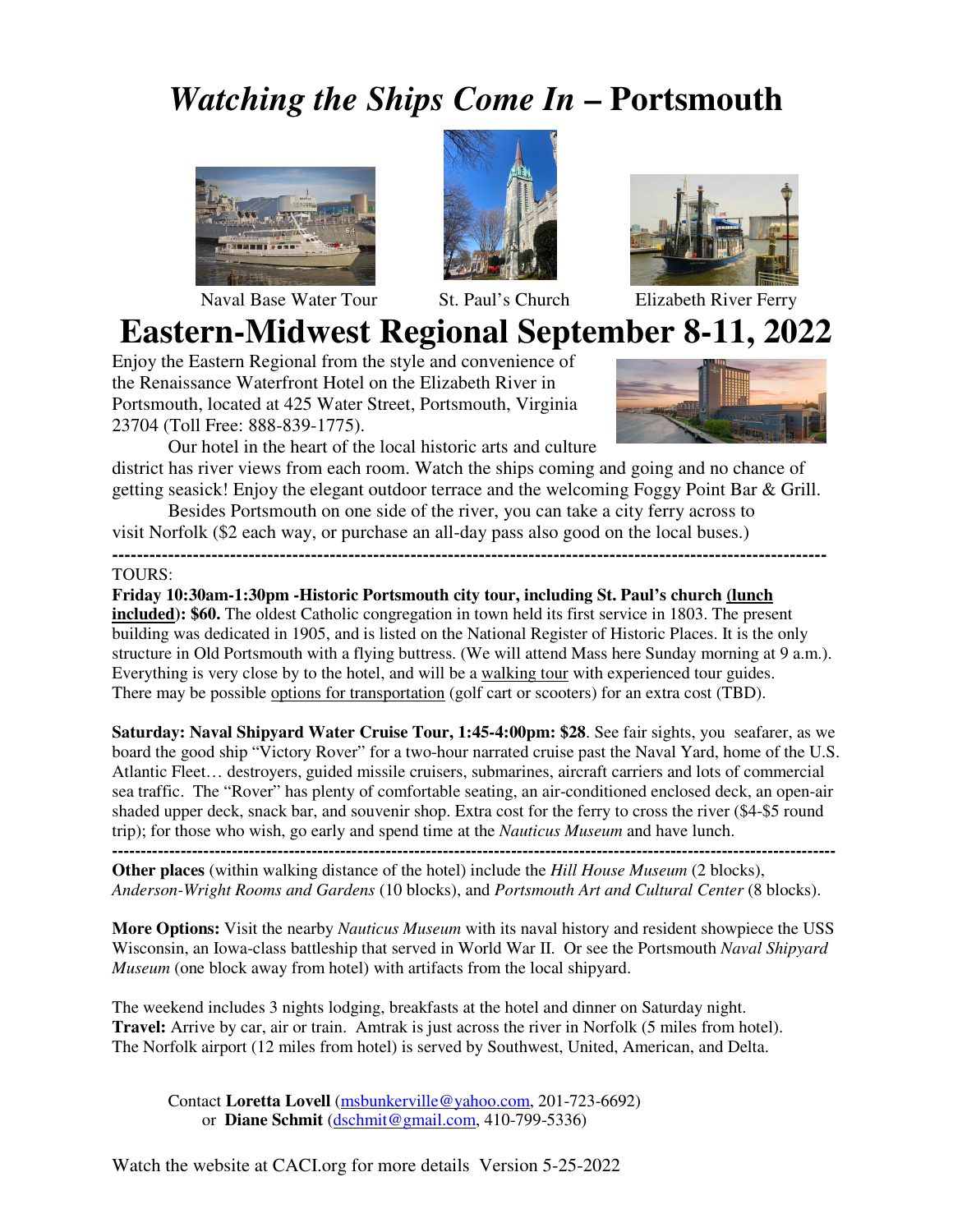## *Watching the Ships Come In* **– Portsmouth**



Naval Base Water Tour St. Paul's Church Elizabeth River Ferry





# **Eastern-Midwest Regional September 8-11, 2022**

Enjoy the Eastern Regional from the style and convenience of the Renaissance Waterfront Hotel on the Elizabeth River in Portsmouth, located at 425 Water Street, Portsmouth, Virginia 23704 (Toll Free: 888-839-1775).



 Our hotel in the heart of the local historic arts and culture district has river views from each room. Watch the ships coming and going and no chance of

getting seasick! Enjoy the elegant outdoor terrace and the welcoming Foggy Point Bar & Grill.

 Besides Portsmouth on one side of the river, you can take a city ferry across to visit Norfolk (\$2 each way, or purchase an all-day pass also good on the local buses.)

**-------------------------------------------------------------------------------------------------------------------** 

#### TOURS:

**Friday 10:30am-1:30pm -Historic Portsmouth city tour, including St. Paul's church (lunch included): \$60.** The oldest Catholic congregation in town held its first service in 1803. The present building was dedicated in 1905, and is listed on the National Register of Historic Places. It is the only structure in Old Portsmouth with a flying buttress. (We will attend Mass here Sunday morning at 9 a.m.). Everything is very close by to the hotel, and will be a walking tour with experienced tour guides. There may be possible options for transportation (golf cart or scooters) for an extra cost (TBD).

**Saturday: Naval Shipyard Water Cruise Tour, 1:45-4:00pm: \$28**. See fair sights, you seafarer, as we board the good ship "Victory Rover" for a two-hour narrated cruise past the Naval Yard, home of the U.S. Atlantic Fleet… destroyers, guided missile cruisers, submarines, aircraft carriers and lots of commercial sea traffic. The "Rover" has plenty of comfortable seating, an air-conditioned enclosed deck, an open-air shaded upper deck, snack bar, and souvenir shop. Extra cost for the ferry to cross the river (\$4-\$5 round trip); for those who wish, go early and spend time at the *Nauticus Museum* and have lunch.

**------------------------------------------------------------------------------------------------------------------------------- Other places** (within walking distance of the hotel) include the *Hill House Museum* (2 blocks), *Anderson-Wright Rooms and Gardens* (10 blocks), and *Portsmouth Art and Cultural Center* (8 blocks).

**More Options:** Visit the nearby *Nauticus Museum* with its naval history and resident showpiece the USS Wisconsin, an Iowa-class battleship that served in World War II. Or see the Portsmouth *Naval Shipyard Museum* (one block away from hotel) with artifacts from the local shipyard.

The weekend includes 3 nights lodging, breakfasts at the hotel and dinner on Saturday night. **Travel:** Arrive by car, air or train. Amtrak is just across the river in Norfolk (5 miles from hotel). The Norfolk airport (12 miles from hotel) is served by Southwest, United, American, and Delta.

Contact **Loretta Lovell** (msbunkerville@yahoo.com, 201-723-6692) or **Diane Schmit** (dschmit@gmail.com, 410-799-5336)

Watch the website at CACI.org for more details Version 5-25-2022